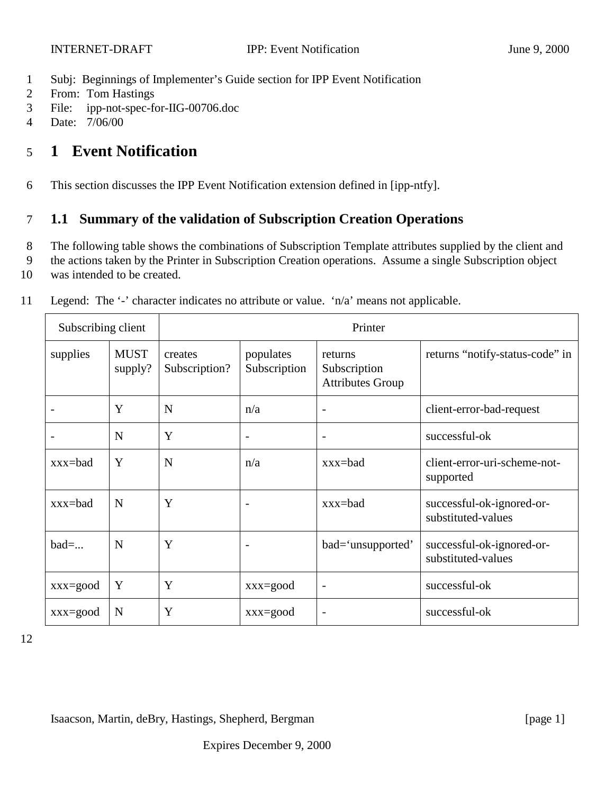- 1 Subj: Beginnings of Implementer's Guide section for IPP Event Notification
- 2 From: Tom Hastings
- 3 File: ipp-not-spec-for-IIG-00706.doc
- 4 Date: 7/06/00

# 5 **1 Event Notification**

6 This section discusses the IPP Event Notification extension defined in [ipp-ntfy].

### 7 **1.1 Summary of the validation of Subscription Creation Operations**

- 8 The following table shows the combinations of Subscription Template attributes supplied by the client and
- 9 the actions taken by the Printer in Subscription Creation operations. Assume a single Subscription object
- 10 was intended to be created.

| Subscribing client |                        |                          | Printer                   |                                                    |                                                 |  |  |
|--------------------|------------------------|--------------------------|---------------------------|----------------------------------------------------|-------------------------------------------------|--|--|
| supplies           | <b>MUST</b><br>supply? | creates<br>Subscription? | populates<br>Subscription | returns<br>Subscription<br><b>Attributes Group</b> | returns "notify-status-code" in                 |  |  |
|                    | Y                      | N                        | n/a                       | $\overline{\phantom{a}}$                           | client-error-bad-request                        |  |  |
|                    | N                      | Y                        | $\overline{\phantom{0}}$  | $\overline{\phantom{a}}$                           | successful-ok                                   |  |  |
| $xxx = bad$        | Y                      | N                        | n/a                       | $xxx = bad$                                        | client-error-uri-scheme-not-<br>supported       |  |  |
| $xxx = bad$        | N                      | Y                        |                           | $xxx = bad$                                        | successful-ok-ignored-or-<br>substituted-values |  |  |
| $bad=$             | N                      | Y                        |                           | bad='unsupported'                                  | successful-ok-ignored-or-<br>substituted-values |  |  |
| $xxx = good$       | Y                      | Y                        | $xxx = good$              | $\overline{\phantom{a}}$                           | successful-ok                                   |  |  |
| $xxx = good$       | N                      | Y                        | $xxx = good$              | $\overline{\phantom{a}}$                           | successful-ok                                   |  |  |

11 Legend: The '-' character indicates no attribute or value. 'n/a' means not applicable.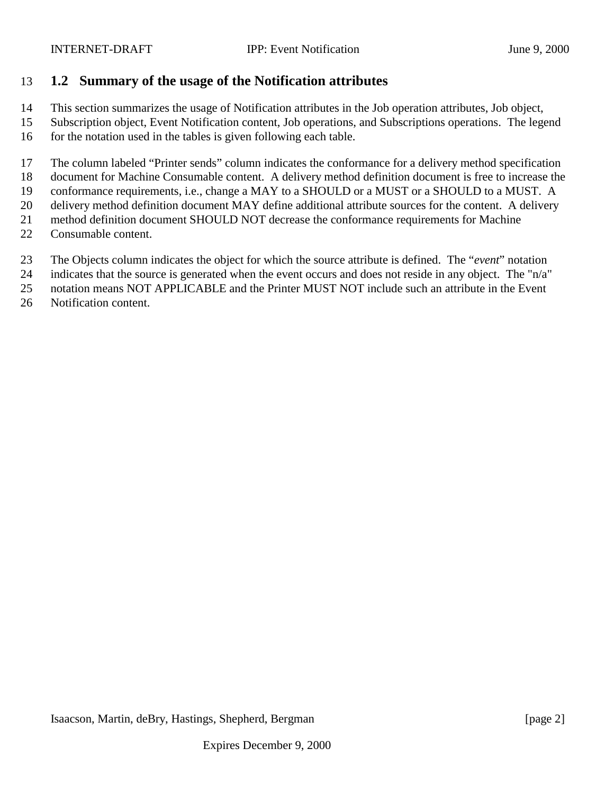### **1.2 Summary of the usage of the Notification attributes**

This section summarizes the usage of Notification attributes in the Job operation attributes, Job object,

 Subscription object, Event Notification content, Job operations, and Subscriptions operations. The legend for the notation used in the tables is given following each table.

The column labeled "Printer sends" column indicates the conformance for a delivery method specification

document for Machine Consumable content. A delivery method definition document is free to increase the

conformance requirements, i.e., change a MAY to a SHOULD or a MUST or a SHOULD to a MUST. A

 delivery method definition document MAY define additional attribute sources for the content. A delivery method definition document SHOULD NOT decrease the conformance requirements for Machine

Consumable content.

The Objects column indicates the object for which the source attribute is defined. The "*event*" notation

indicates that the source is generated when the event occurs and does not reside in any object. The "n/a"

notation means NOT APPLICABLE and the Printer MUST NOT include such an attribute in the Event

Notification content.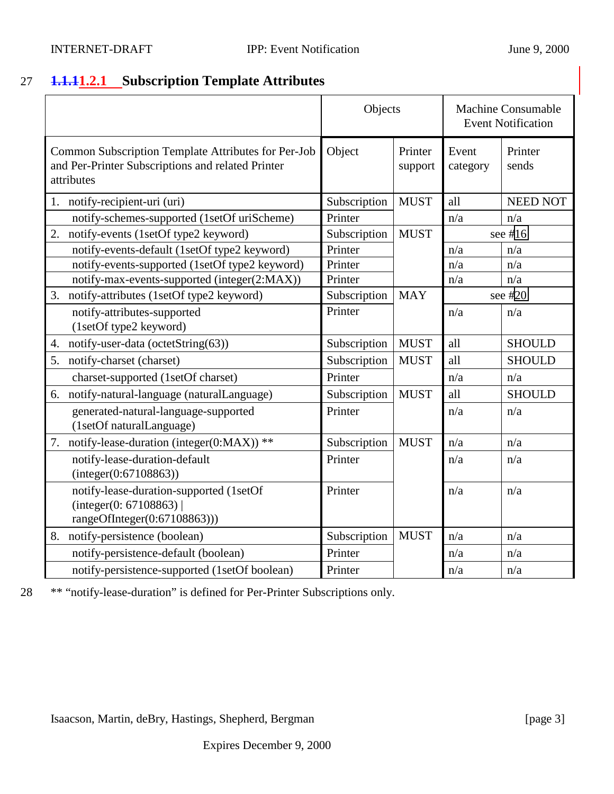## <span id="page-2-0"></span>27 **1.1.11.2.1 Subscription Template Attributes**

|                                                                                                                        | Objects      |                    |                   | <b>Machine Consumable</b><br><b>Event Notification</b> |
|------------------------------------------------------------------------------------------------------------------------|--------------|--------------------|-------------------|--------------------------------------------------------|
| Common Subscription Template Attributes for Per-Job<br>and Per-Printer Subscriptions and related Printer<br>attributes | Object       | Printer<br>support | Event<br>category | Printer<br>sends                                       |
| 1. notify-recipient-uri (uri)                                                                                          | Subscription | <b>MUST</b>        | all               | <b>NEED NOT</b>                                        |
| notify-schemes-supported (1setOf uriScheme)                                                                            | Printer      |                    | n/a               | n/a                                                    |
| notify-events (1setOf type2 keyword)<br>2.                                                                             | Subscription | <b>MUST</b>        |                   | see #16                                                |
| notify-events-default (1setOf type2 keyword)                                                                           | Printer      |                    | n/a               | n/a                                                    |
| notify-events-supported (1setOf type2 keyword)                                                                         | Printer      |                    | n/a               | n/a                                                    |
| notify-max-events-supported (integer(2:MAX))                                                                           | Printer      |                    | n/a               | n/a                                                    |
| 3. notify-attributes (1setOf type2 keyword)                                                                            | Subscription | <b>MAY</b>         | see $#20$         |                                                        |
| notify-attributes-supported<br>(1setOf type2 keyword)                                                                  | Printer      |                    | n/a               | n/a                                                    |
| notify-user-data (octetString(63))<br>4.                                                                               | Subscription | <b>MUST</b>        | all               | <b>SHOULD</b>                                          |
| 5.<br>notify-charset (charset)                                                                                         | Subscription | <b>MUST</b>        | all               | <b>SHOULD</b>                                          |
| charset-supported (1setOf charset)                                                                                     | Printer      |                    | n/a               | n/a                                                    |
| notify-natural-language (naturalLanguage)<br>6.                                                                        | Subscription | <b>MUST</b>        | all               | <b>SHOULD</b>                                          |
| generated-natural-language-supported<br>(1setOf naturalLanguage)                                                       | Printer      |                    | n/a               | n/a                                                    |
| 7. notify-lease-duration (integer(0:MAX)) **                                                                           | Subscription | <b>MUST</b>        | n/a               | n/a                                                    |
| notify-lease-duration-default<br>(integer(0:67108863))                                                                 | Printer      |                    | n/a               | n/a                                                    |
| notify-lease-duration-supported (1setOf<br>(integer(0: 67108863)<br>rangeOfInteger $(0:67108863))$                     | Printer      |                    | n/a               | n/a                                                    |
| notify-persistence (boolean)<br>8.                                                                                     | Subscription | <b>MUST</b>        | n/a               | n/a                                                    |
| notify-persistence-default (boolean)                                                                                   | Printer      |                    | n/a               | n/a                                                    |
| notify-persistence-supported (1setOf boolean)                                                                          | Printer      |                    | n/a               | n/a                                                    |

28 \*\* "notify-lease-duration" is defined for Per-Printer Subscriptions only.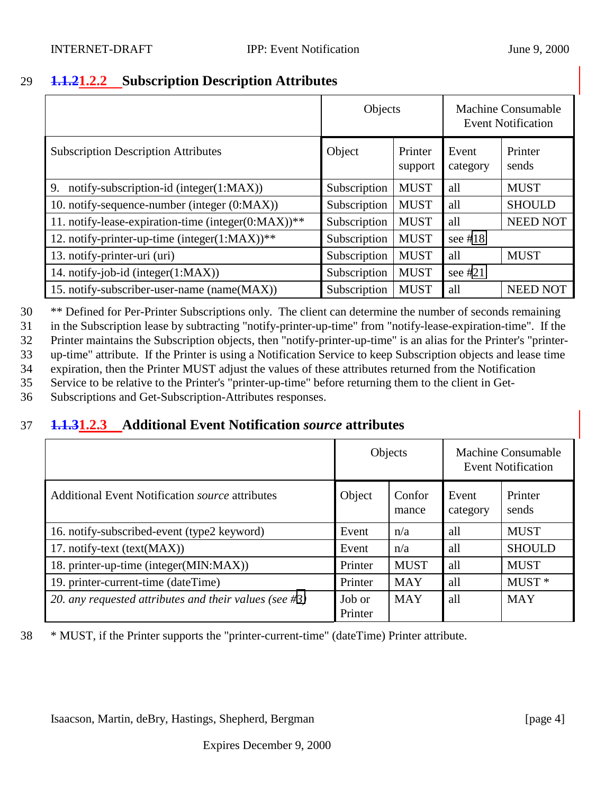### <span id="page-3-0"></span>29 **1.1.21.2.2 Subscription Description Attributes**

|                                                     | Objects      |                    |                   | Machine Consumable<br><b>Event Notification</b> |
|-----------------------------------------------------|--------------|--------------------|-------------------|-------------------------------------------------|
| <b>Subscription Description Attributes</b>          | Object       | Printer<br>support | Event<br>category | Printer<br>sends                                |
| 9. notify-subscription-id (integer(1:MAX))          | Subscription | <b>MUST</b>        | all               | <b>MUST</b>                                     |
| 10. notify-sequence-number (integer (0:MAX))        | Subscription | <b>MUST</b>        | all               | <b>SHOULD</b>                                   |
| 11. notify-lease-expiration-time (integer(0:MAX))** | Subscription | <b>MUST</b>        | all               | <b>NEED NOT</b>                                 |
| 12. notify-printer-up-time (integer $(1:MAX)$ )**   | Subscription | <b>MUST</b>        | see $#18$         |                                                 |
| 13. notify-printer-uri (uri)                        | Subscription | <b>MUST</b>        | all               | <b>MUST</b>                                     |
| 14. notify-job-id (integer(1:MAX))                  | Subscription | <b>MUST</b>        | see $#21$         |                                                 |
| 15. notify-subscriber-user-name (name(MAX))         | Subscription | <b>MUST</b>        | all               | NEED NOT                                        |

 \*\* Defined for Per-Printer Subscriptions only. The client can determine the number of seconds remaining in the Subscription lease by subtracting "notify-printer-up-time" from "notify-lease-expiration-time". If the Printer maintains the Subscription objects, then "notify-printer-up-time" is an alias for the Printer's "printer- up-time" attribute. If the Printer is using a Notification Service to keep Subscription objects and lease time expiration, then the Printer MUST adjust the values of these attributes returned from the Notification

35 Service to be relative to the Printer's "printer-up-time" before returning them to the client in Get-

36 Subscriptions and Get-Subscription-Attributes responses.

### 37 **1.1.31.2.3 Additional Event Notification** *source* **attributes**

|                                                               | Objects           |                 | <b>Machine Consumable</b><br><b>Event Notification</b> |                   |
|---------------------------------------------------------------|-------------------|-----------------|--------------------------------------------------------|-------------------|
| <b>Additional Event Notification <i>source</i></b> attributes | Object            | Confor<br>mance | Event<br>category                                      | Printer<br>sends  |
| 16. notify-subscribed-event (type2 keyword)                   | Event             | n/a             | all                                                    | <b>MUST</b>       |
| 17. notify-text (text(MAX))                                   | Event             | n/a             | all                                                    | <b>SHOULD</b>     |
| 18. printer-up-time (integer(MIN:MAX))                        | Printer           | <b>MUST</b>     | all                                                    | <b>MUST</b>       |
| 19. printer-current-time (dateTime)                           | Printer           | <b>MAY</b>      | all                                                    | MUST <sup>*</sup> |
| 20. any requested attributes and their values (see $\#3$ )    | Job or<br>Printer | <b>MAY</b>      | all                                                    | <b>MAY</b>        |

38 \* MUST, if the Printer supports the "printer-current-time" (dateTime) Printer attribute.

Isaacson, Martin, deBry, Hastings, Shepherd, Bergman [page 4]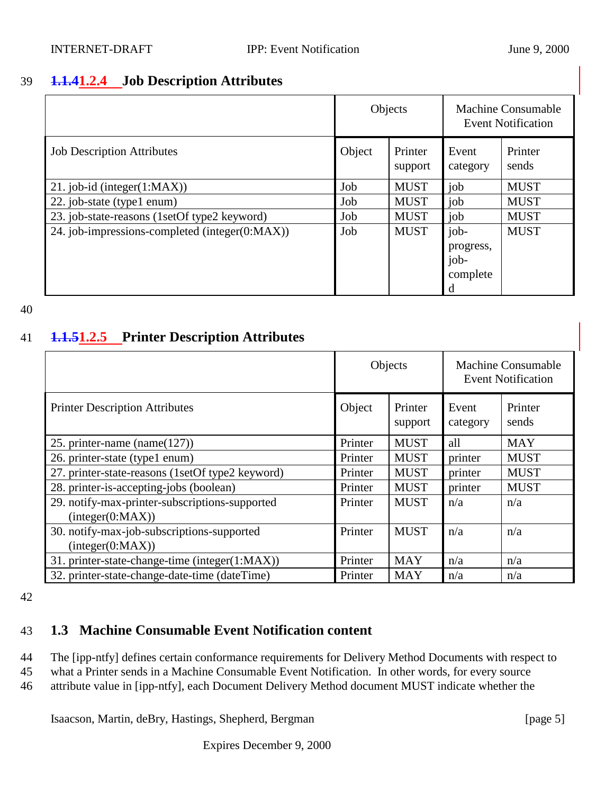### <span id="page-4-0"></span>39 **1.1.41.2.4 Job Description Attributes**

|                                                | Objects |                    | <b>Machine Consumable</b><br><b>Event Notification</b> |                  |
|------------------------------------------------|---------|--------------------|--------------------------------------------------------|------------------|
| <b>Job Description Attributes</b>              | Object  | Printer<br>support | Event<br>category                                      | Printer<br>sends |
| 21. job-id (integer $(1:MAX)$ )                | Job     | <b>MUST</b>        | job                                                    | <b>MUST</b>      |
| 22. job-state (type1 enum)                     | Job     | <b>MUST</b>        | job                                                    | <b>MUST</b>      |
| 23. job-state-reasons (1setOf type2 keyword)   | Job     | <b>MUST</b>        | job                                                    | <b>MUST</b>      |
| 24. job-impressions-completed (integer(0:MAX)) | Job     | <b>MUST</b>        | job-<br>progress,<br>job-<br>complete<br>d             | <b>MUST</b>      |

#### 40

### 41 **1.1.51.2.5 Printer Description Attributes**

|                                                                    |         | Objects            |                   | Machine Consumable<br><b>Event Notification</b> |  |
|--------------------------------------------------------------------|---------|--------------------|-------------------|-------------------------------------------------|--|
| <b>Printer Description Attributes</b>                              | Object  | Printer<br>support | Event<br>category | Printer<br>sends                                |  |
| 25. printer-name (name( $127$ ))                                   | Printer | <b>MUST</b>        | all               | <b>MAY</b>                                      |  |
| 26. printer-state (type1 enum)                                     | Printer | <b>MUST</b>        | printer           | <b>MUST</b>                                     |  |
| 27. printer-state-reasons (1setOf type2 keyword)                   | Printer | <b>MUST</b>        | printer           | <b>MUST</b>                                     |  |
| 28. printer-is-accepting-jobs (boolean)                            | Printer | <b>MUST</b>        | printer           | <b>MUST</b>                                     |  |
| 29. notify-max-printer-subscriptions-supported<br>interger(0:MAX)) | Printer | <b>MUST</b>        | n/a               | n/a                                             |  |
| 30. notify-max-job-subscriptions-supported<br>interger(0:MAX))     | Printer | <b>MUST</b>        | n/a               | n/a                                             |  |
| 31. printer-state-change-time (integer(1:MAX))                     | Printer | <b>MAY</b>         | n/a               | n/a                                             |  |
| 32. printer-state-change-date-time (dateTime)                      | Printer | <b>MAY</b>         | n/a               | n/a                                             |  |

42

## 43 **1.3 Machine Consumable Event Notification content**

44 The [ipp-ntfy] defines certain conformance requirements for Delivery Method Documents with respect to

45 what a Printer sends in a Machine Consumable Event Notification. In other words, for every source

46 attribute value in [ipp-ntfy], each Document Delivery Method document MUST indicate whether the

Isaacson, Martin, deBry, Hastings, Shepherd, Bergman [page 5]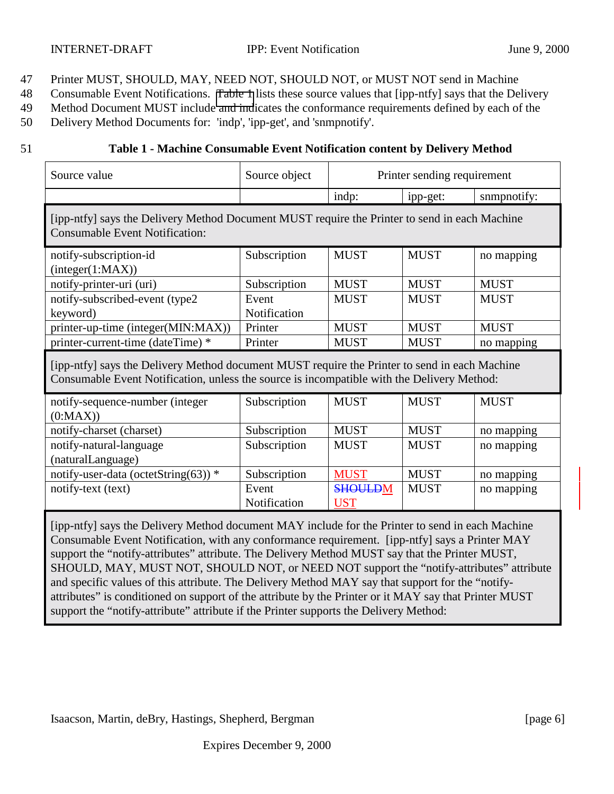- 47 Printer MUST, SHOULD, MAY, NEED NOT, SHOULD NOT, or MUST NOT send in Machine
- 48 Consumable Event Notifications. Table 1 lists these source values that [ipp-ntfy] says that the Delivery
- 49 Method Document MUST include and indicates the conformance requirements defined by each of the
- 50 Delivery Method Documents for: 'indp', 'ipp-get', and 'snmpnotify'.
- 

### 51 **Table 1 - Machine Consumable Event Notification content by Delivery Method**

| Source value                                                                                                                                                                                       | Source object         |                              | Printer sending requirement |             |  |  |
|----------------------------------------------------------------------------------------------------------------------------------------------------------------------------------------------------|-----------------------|------------------------------|-----------------------------|-------------|--|--|
|                                                                                                                                                                                                    |                       | indp:                        | ipp-get:                    | snmpnotify: |  |  |
| [ipp-ntfy] says the Delivery Method Document MUST require the Printer to send in each Machine<br><b>Consumable Event Notification:</b>                                                             |                       |                              |                             |             |  |  |
| notify-subscription-id<br>interger(1:MAX))                                                                                                                                                         | Subscription          | <b>MUST</b>                  | <b>MUST</b>                 | no mapping  |  |  |
| notify-printer-uri (uri)                                                                                                                                                                           | Subscription          | <b>MUST</b>                  | <b>MUST</b>                 | <b>MUST</b> |  |  |
| notify-subscribed-event (type2                                                                                                                                                                     | Event                 | <b>MUST</b>                  | <b>MUST</b>                 | <b>MUST</b> |  |  |
| keyword)                                                                                                                                                                                           | Notification          |                              |                             |             |  |  |
| printer-up-time (integer(MIN:MAX))                                                                                                                                                                 | Printer               | <b>MUST</b>                  | <b>MUST</b>                 | <b>MUST</b> |  |  |
| printer-current-time (dateTime) *                                                                                                                                                                  | Printer               | <b>MUST</b>                  | <b>MUST</b>                 | no mapping  |  |  |
| [ipp-ntfy] says the Delivery Method document MUST require the Printer to send in each Machine<br>Consumable Event Notification, unless the source is incompatible with the Delivery Method:        |                       |                              |                             |             |  |  |
| notify-sequence-number (integer<br>(0:MAX)                                                                                                                                                         | Subscription          | <b>MUST</b>                  | <b>MUST</b>                 | <b>MUST</b> |  |  |
| notify-charset (charset)                                                                                                                                                                           | Subscription          | <b>MUST</b>                  | <b>MUST</b>                 | no mapping  |  |  |
| notify-natural-language                                                                                                                                                                            | Subscription          | <b>MUST</b>                  | <b>MUST</b>                 | no mapping  |  |  |
| (naturalLanguage)                                                                                                                                                                                  |                       |                              |                             |             |  |  |
| notify-user-data (octetString(63)) $*$                                                                                                                                                             | Subscription          | <b>MUST</b>                  | <b>MUST</b>                 | no mapping  |  |  |
| notify-text (text)                                                                                                                                                                                 | Event<br>Notification | <b>SHOULDM</b><br><b>UST</b> | <b>MUST</b>                 | no mapping  |  |  |
| [ipp-ntfy] says the Delivery Method document MAY include for the Printer to send in each Machine<br>Consumable Event Notification, with any conformance requirement. [ipp-ntfy] says a Printer MAY |                       |                              |                             |             |  |  |

support the "notify-attributes" attribute. The Delivery Method MUST say that the Printer MUST, SHOULD, MAY, MUST NOT, SHOULD NOT, or NEED NOT support the "notify-attributes" attribute and specific values of this attribute. The Delivery Method MAY say that support for the "notifyattributes" is conditioned on support of the attribute by the Printer or it MAY say that Printer MUST support the "notify-attribute" attribute if the Printer supports the Delivery Method: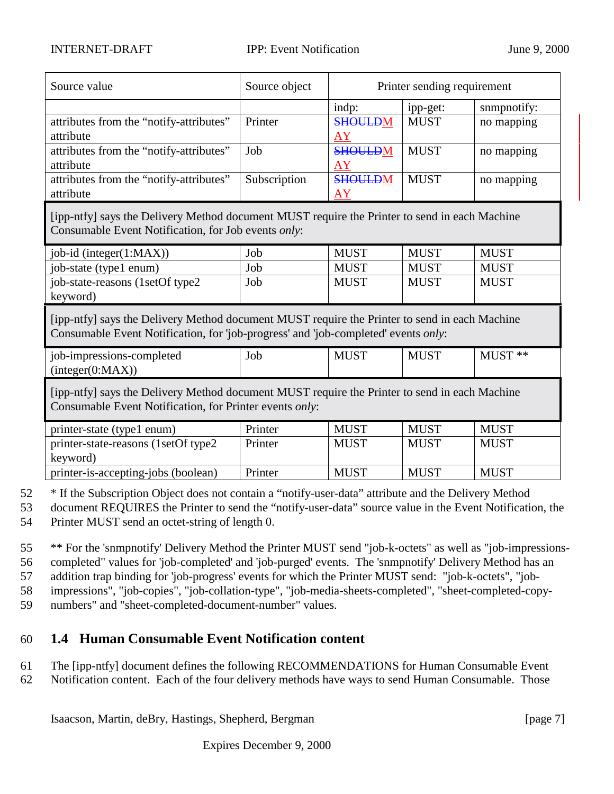| Source value                            | Source object | Printer sending requirement |             |             |
|-----------------------------------------|---------------|-----------------------------|-------------|-------------|
|                                         |               | indp:                       | ipp-get:    | sumpnotify: |
| attributes from the "notify-attributes" | Printer       | <b>SHOULDM</b>              | <b>MUST</b> | no mapping  |
| attribute                               |               | <b>AY</b>                   |             |             |
| attributes from the "notify-attributes" | Job           | <b>SHOULDM</b>              | <b>MUST</b> | no mapping  |
| attribute                               |               | AY                          |             |             |
| attributes from the "notify-attributes" | Subscription  | <b>SHOULDM</b>              | <b>MUST</b> | no mapping  |
| attribute                               |               | AY                          |             |             |

[ipp-ntfy] says the Delivery Method document MUST require the Printer to send in each Machine Consumable Event Notification, for Job events *only*:

| $job-id$ (integer $(1:MAX)$ )    | Job | <b>MUST</b> | <b>MUST</b> | <b>MUST</b> |
|----------------------------------|-----|-------------|-------------|-------------|
| job-state (type1 enum)           | Job | <b>MUST</b> | <b>MUST</b> | <b>MUST</b> |
| job-state-reasons (1setOf type2) | Job | <b>MUST</b> | <b>MUST</b> | <b>MUST</b> |
| keyword)                         |     |             |             |             |

[ipp-ntfy] says the Delivery Method document MUST require the Printer to send in each Machine Consumable Event Notification, for 'job-progress' and 'job-completed' events *only*:

| job-impressions-completed | Job | $MUS^{\mathsf{T}}$ | $MUS^{\tau}$ | $MUST$ ** |
|---------------------------|-----|--------------------|--------------|-----------|
| (integer(0:MAX))          |     |                    |              |           |

[ipp-ntfy] says the Delivery Method document MUST require the Printer to send in each Machine Consumable Event Notification, for Printer events *only*:

| printer-state (type1 enum)           | Printer | <b>MUST</b> | <b>MUST</b> | <b>MUST</b> |
|--------------------------------------|---------|-------------|-------------|-------------|
| printer-state-reasons (1setOf type2) | Printer | <b>MUST</b> | <b>MUST</b> | <b>MUST</b> |
| keyword)                             |         |             |             |             |
| printer-is-accepting-jobs (boolean)  | Printer | <b>MUST</b> | <b>MUST</b> | <b>MUST</b> |

52 \* If the Subscription Object does not contain a "notify-user-data" attribute and the Delivery Method

53 document REQUIRES the Printer to send the "notify-user-data" source value in the Event Notification, the 54 Printer MUST send an octet-string of length 0.

 \*\* For the 'snmpnotify' Delivery Method the Printer MUST send "job-k-octets" as well as "job-impressions- completed" values for 'job-completed' and 'job-purged' events. The 'snmpnotify' Delivery Method has an addition trap binding for 'job-progress' events for which the Printer MUST send: "job-k-octets", "job-impressions", "job-copies", "job-collation-type", "job-media-sheets-completed", "sheet-completed-copy-

59 numbers" and "sheet-completed-document-number" values.

## 60 **1.4 Human Consumable Event Notification content**

- 61 The [ipp-ntfy] document defines the following RECOMMENDATIONS for Human Consumable Event
- 62 Notification content. Each of the four delivery methods have ways to send Human Consumable. Those

Isaacson, Martin, deBry, Hastings, Shepherd, Bergman [page 7]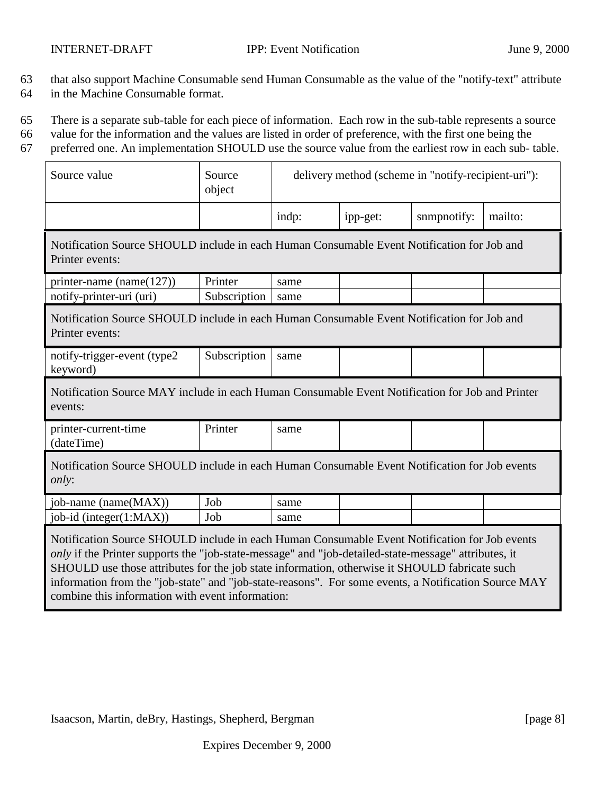- 63 that also support Machine Consumable send Human Consumable as the value of the "notify-text" attribute
- 64 in the Machine Consumable format.
- 65 There is a separate sub-table for each piece of information. Each row in the sub-table represents a source
- 66 value for the information and the values are listed in order of preference, with the first one being the
- 67 preferred one. An implementation SHOULD use the source value from the earliest row in each sub- table.

| Source value                                                                                                                                                                                                                                                                                                                                                                                                                                                       | Source<br>object | delivery method (scheme in "notify-recipient-uri"): |          |             |         |
|--------------------------------------------------------------------------------------------------------------------------------------------------------------------------------------------------------------------------------------------------------------------------------------------------------------------------------------------------------------------------------------------------------------------------------------------------------------------|------------------|-----------------------------------------------------|----------|-------------|---------|
|                                                                                                                                                                                                                                                                                                                                                                                                                                                                    |                  | indp:                                               | ipp-get: | snmpnotify: | mailto: |
| Notification Source SHOULD include in each Human Consumable Event Notification for Job and<br>Printer events:                                                                                                                                                                                                                                                                                                                                                      |                  |                                                     |          |             |         |
| printer-name (name $(127)$ )                                                                                                                                                                                                                                                                                                                                                                                                                                       | Printer          | same                                                |          |             |         |
| notify-printer-uri (uri)                                                                                                                                                                                                                                                                                                                                                                                                                                           | Subscription     | same                                                |          |             |         |
| Notification Source SHOULD include in each Human Consumable Event Notification for Job and<br>Printer events:                                                                                                                                                                                                                                                                                                                                                      |                  |                                                     |          |             |         |
| notify-trigger-event (type2<br>keyword)                                                                                                                                                                                                                                                                                                                                                                                                                            | Subscription     | same                                                |          |             |         |
| Notification Source MAY include in each Human Consumable Event Notification for Job and Printer<br>events:                                                                                                                                                                                                                                                                                                                                                         |                  |                                                     |          |             |         |
| printer-current-time<br>(dateTime)                                                                                                                                                                                                                                                                                                                                                                                                                                 | Printer          | same                                                |          |             |         |
| Notification Source SHOULD include in each Human Consumable Event Notification for Job events<br><i>only:</i>                                                                                                                                                                                                                                                                                                                                                      |                  |                                                     |          |             |         |
| job-name (name(MAX))                                                                                                                                                                                                                                                                                                                                                                                                                                               | Job              | same                                                |          |             |         |
| job-id (integer(1:MAX))                                                                                                                                                                                                                                                                                                                                                                                                                                            | Job              | same                                                |          |             |         |
| Notification Source SHOULD include in each Human Consumable Event Notification for Job events<br>only if the Printer supports the "job-state-message" and "job-detailed-state-message" attributes, it<br>SHOULD use those attributes for the job state information, otherwise it SHOULD fabricate such<br>information from the "job-state" and "job-state-reasons". For some events, a Notification Source MAY<br>combine this information with event information: |                  |                                                     |          |             |         |